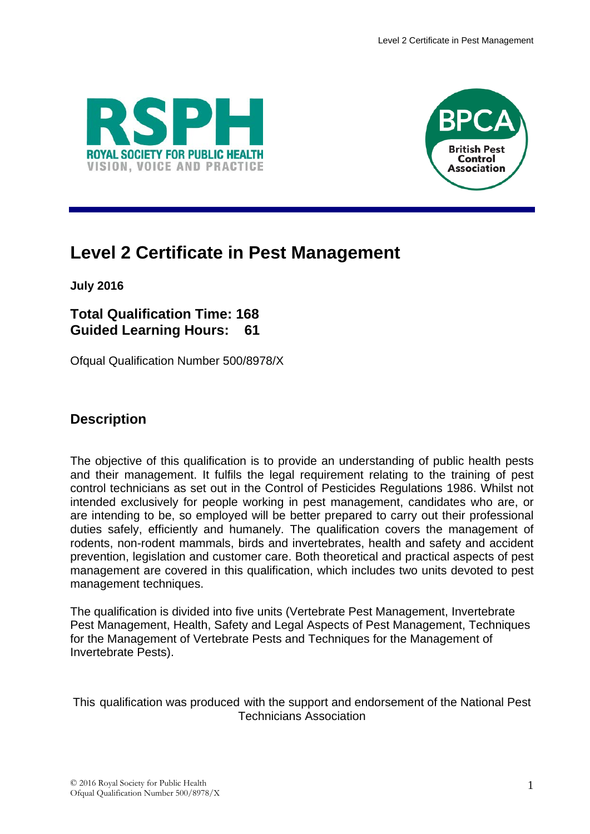



# **Level 2 Certificate in Pest Management**

**July 2016**

## **Total Qualification Time: 168 Guided Learning Hours: 61**

Ofqual Qualification Number 500/8978/X

## **Description**

The objective of this qualification is to provide an understanding of public health pests and their management. It fulfils the legal requirement relating to the training of pest control technicians as set out in the Control of Pesticides Regulations 1986. Whilst not intended exclusively for people working in pest management, candidates who are, or are intending to be, so employed will be better prepared to carry out their professional duties safely, efficiently and humanely. The qualification covers the management of rodents, non-rodent mammals, birds and invertebrates, health and safety and accident prevention, legislation and customer care. Both theoretical and practical aspects of pest management are covered in this qualification, which includes two units devoted to pest management techniques.

The qualification is divided into five units (Vertebrate Pest Management, Invertebrate Pest Management, Health, Safety and Legal Aspects of Pest Management, Techniques for the Management of Vertebrate Pests and Techniques for the Management of Invertebrate Pests).

This qualification was produced with the support and endorsement of the National Pest Technicians Association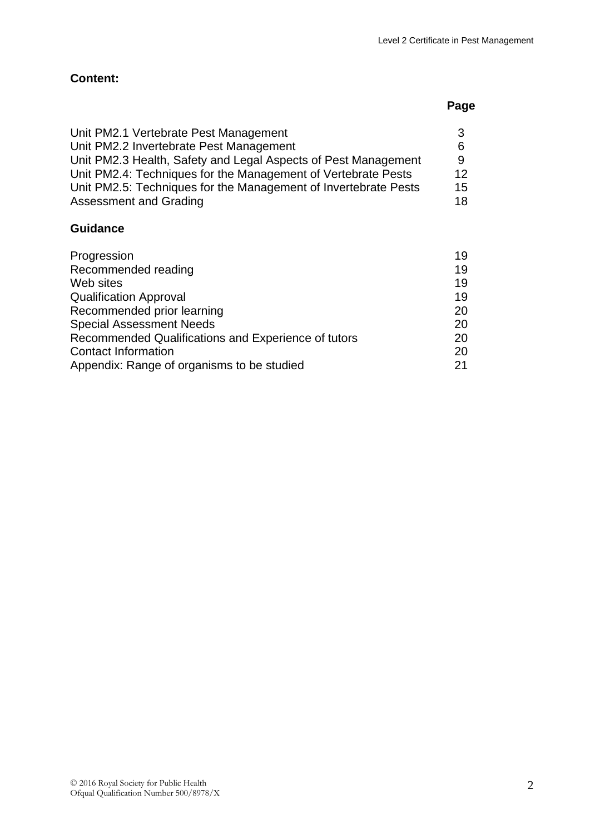## **Page**

| 3  |
|----|
| 6  |
| 9  |
| 12 |
| 15 |
| 18 |
|    |

### **Guidance**

| Progression                                         | 19 |
|-----------------------------------------------------|----|
| Recommended reading                                 | 19 |
| Web sites                                           | 19 |
| <b>Qualification Approval</b>                       | 19 |
| Recommended prior learning                          | 20 |
| <b>Special Assessment Needs</b>                     | 20 |
| Recommended Qualifications and Experience of tutors | 20 |
| <b>Contact Information</b>                          | 20 |
| Appendix: Range of organisms to be studied          | 21 |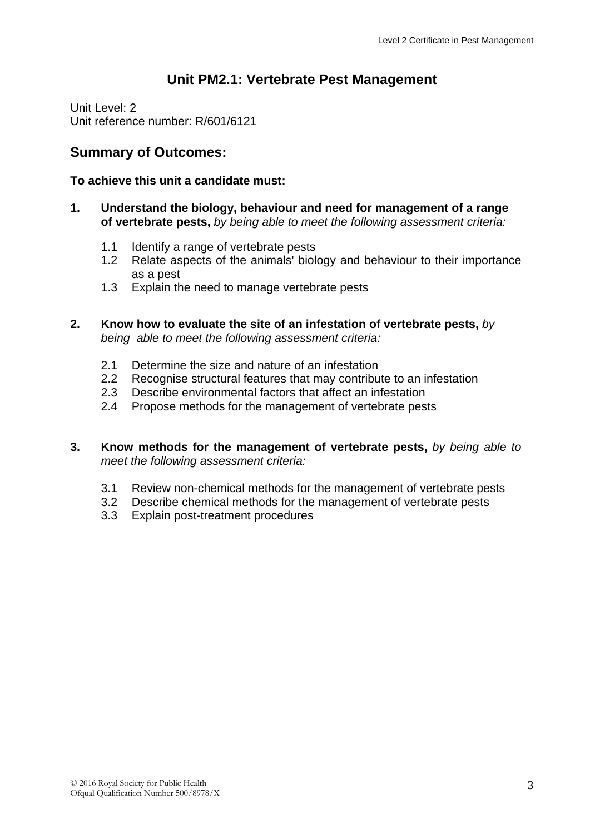## **Unit PM2.1: Vertebrate Pest Management**

Unit Level: 2 Unit reference number: R/601/6121

## **Summary of Outcomes:**

#### **To achieve this unit a candidate must:**

- **1. Understand the biology, behaviour and need for management of a range of vertebrate pests,** *by being able to meet the following assessment criteria:*
	- 1.1 Identify a range of vertebrate pests
	- 1.2 Relate aspects of the animals' biology and behaviour to their importance as a pest
	- 1.3 Explain the need to manage vertebrate pests
- **2. Know how to evaluate the site of an infestation of vertebrate pests,** *by being able to meet the following assessment criteria:*
	- 2.1 Determine the size and nature of an infestation
	- 2.2 Recognise structural features that may contribute to an infestation
	- 2.3 Describe environmental factors that affect an infestation
	- 2.4 Propose methods for the management of vertebrate pests
- **3. Know methods for the management of vertebrate pests,** *by being able to meet the following assessment criteria:*
	- 3.1 Review non-chemical methods for the management of vertebrate pests
	- 3.2 Describe chemical methods for the management of vertebrate pests
	- 3.3 Explain post-treatment procedures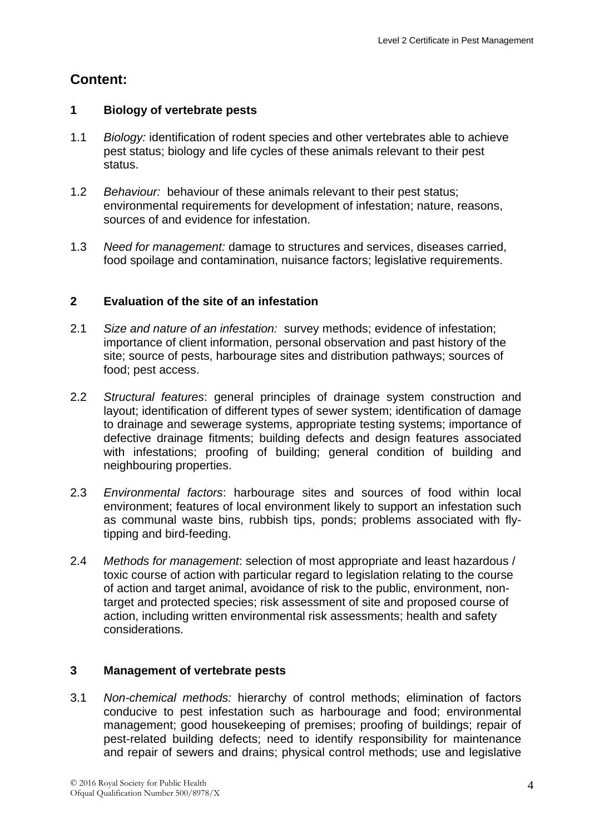#### **1 Biology of vertebrate pests**

- 1.1 *Biology:* identification of rodent species and other vertebrates able to achieve pest status; biology and life cycles of these animals relevant to their pest status.
- 1.2 *Behaviour:* behaviour of these animals relevant to their pest status; environmental requirements for development of infestation; nature, reasons, sources of and evidence for infestation.
- 1.3 *Need for management:* damage to structures and services, diseases carried, food spoilage and contamination, nuisance factors; legislative requirements.

### **2 Evaluation of the site of an infestation**

- 2.1 *Size and nature of an infestation:* survey methods; evidence of infestation; importance of client information, personal observation and past history of the site; source of pests, harbourage sites and distribution pathways; sources of food; pest access.
- 2.2 *Structural features*: general principles of drainage system construction and layout; identification of different types of sewer system; identification of damage to drainage and sewerage systems, appropriate testing systems; importance of defective drainage fitments; building defects and design features associated with infestations; proofing of building; general condition of building and neighbouring properties.
- 2.3 *Environmental factors*: harbourage sites and sources of food within local environment; features of local environment likely to support an infestation such as communal waste bins, rubbish tips, ponds; problems associated with flytipping and bird-feeding.
- 2.4 *Methods for management*: selection of most appropriate and least hazardous / toxic course of action with particular regard to legislation relating to the course of action and target animal, avoidance of risk to the public, environment, nontarget and protected species; risk assessment of site and proposed course of action, including written environmental risk assessments; health and safety considerations.

### **3 Management of vertebrate pests**

3.1 *Non-chemical methods:* hierarchy of control methods; elimination of factors conducive to pest infestation such as harbourage and food; environmental management; good housekeeping of premises; proofing of buildings; repair of pest-related building defects; need to identify responsibility for maintenance and repair of sewers and drains; physical control methods; use and legislative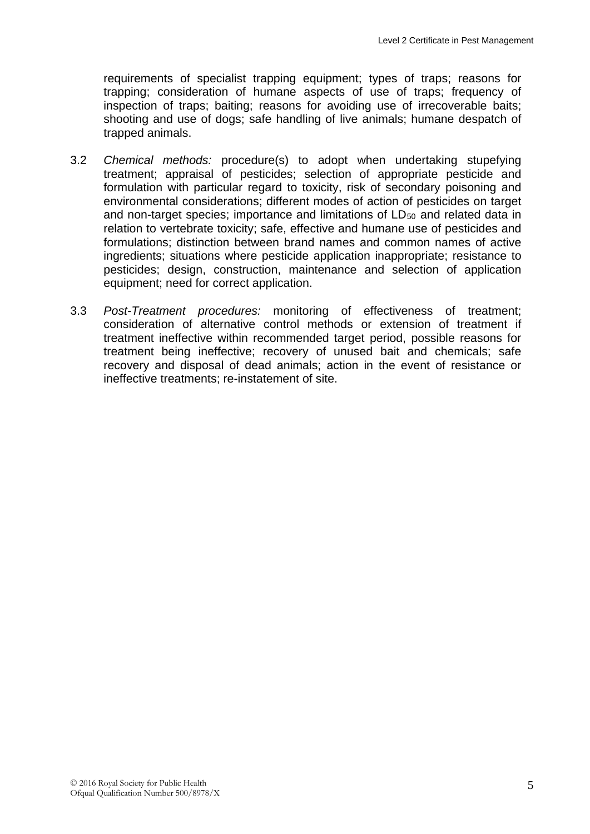requirements of specialist trapping equipment; types of traps; reasons for trapping; consideration of humane aspects of use of traps; frequency of inspection of traps; baiting; reasons for avoiding use of irrecoverable baits; shooting and use of dogs; safe handling of live animals; humane despatch of trapped animals.

- 3.2 *Chemical methods:* procedure(s) to adopt when undertaking stupefying treatment; appraisal of pesticides; selection of appropriate pesticide and formulation with particular regard to toxicity, risk of secondary poisoning and environmental considerations; different modes of action of pesticides on target and non-target species; importance and limitations of LD<sub>50</sub> and related data in relation to vertebrate toxicity; safe, effective and humane use of pesticides and formulations; distinction between brand names and common names of active ingredients; situations where pesticide application inappropriate; resistance to pesticides; design, construction, maintenance and selection of application equipment; need for correct application.
- 3.3 *Post-Treatment procedures:* monitoring of effectiveness of treatment; consideration of alternative control methods or extension of treatment if treatment ineffective within recommended target period, possible reasons for treatment being ineffective; recovery of unused bait and chemicals; safe recovery and disposal of dead animals; action in the event of resistance or ineffective treatments; re-instatement of site.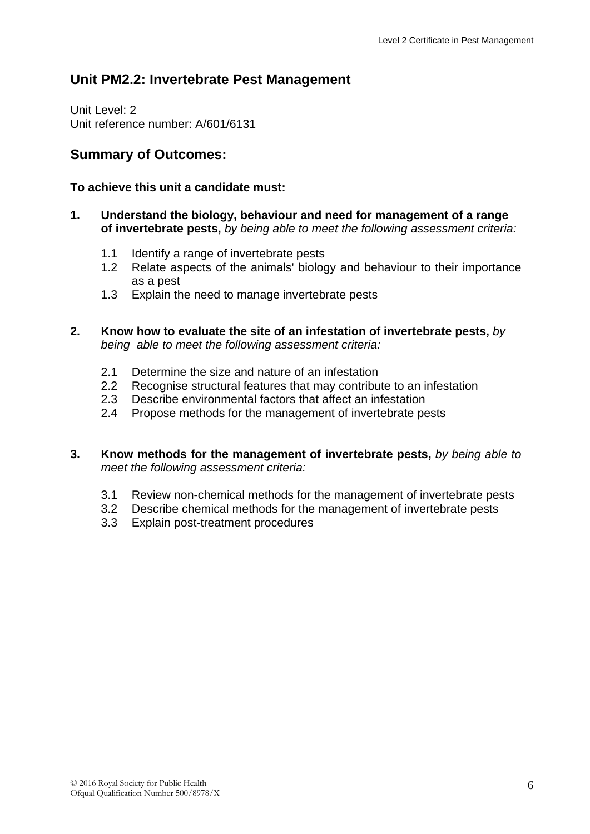## **Unit PM2.2: Invertebrate Pest Management**

Unit Level: 2 Unit reference number: A/601/6131

## **Summary of Outcomes:**

#### **To achieve this unit a candidate must:**

- **1. Understand the biology, behaviour and need for management of a range of invertebrate pests,** *by being able to meet the following assessment criteria:*
	- 1.1 Identify a range of invertebrate pests
	- 1.2 Relate aspects of the animals' biology and behaviour to their importance as a pest
	- 1.3 Explain the need to manage invertebrate pests
- **2. Know how to evaluate the site of an infestation of invertebrate pests,** *by being able to meet the following assessment criteria:*
	- 2.1 Determine the size and nature of an infestation
	- 2.2 Recognise structural features that may contribute to an infestation
	- 2.3 Describe environmental factors that affect an infestation
	- 2.4 Propose methods for the management of invertebrate pests
- **3. Know methods for the management of invertebrate pests,** *by being able to meet the following assessment criteria:*
	- 3.1 Review non-chemical methods for the management of invertebrate pests
	- 3.2 Describe chemical methods for the management of invertebrate pests
	- 3.3 Explain post-treatment procedures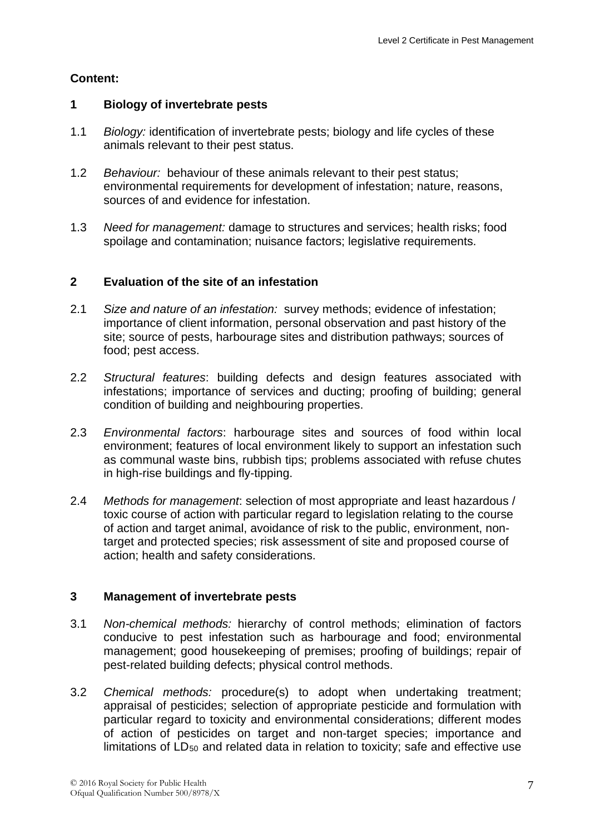#### **1 Biology of invertebrate pests**

- 1.1 *Biology:* identification of invertebrate pests; biology and life cycles of these animals relevant to their pest status.
- 1.2 *Behaviour:* behaviour of these animals relevant to their pest status; environmental requirements for development of infestation; nature, reasons, sources of and evidence for infestation.
- 1.3 *Need for management:* damage to structures and services; health risks; food spoilage and contamination; nuisance factors; legislative requirements.

#### **2 Evaluation of the site of an infestation**

- 2.1 *Size and nature of an infestation:* survey methods; evidence of infestation; importance of client information, personal observation and past history of the site; source of pests, harbourage sites and distribution pathways; sources of food; pest access.
- 2.2 *Structural features*: building defects and design features associated with infestations; importance of services and ducting; proofing of building; general condition of building and neighbouring properties.
- 2.3 *Environmental factors*: harbourage sites and sources of food within local environment; features of local environment likely to support an infestation such as communal waste bins, rubbish tips; problems associated with refuse chutes in high-rise buildings and fly-tipping.
- 2.4 *Methods for management*: selection of most appropriate and least hazardous / toxic course of action with particular regard to legislation relating to the course of action and target animal, avoidance of risk to the public, environment, nontarget and protected species; risk assessment of site and proposed course of action; health and safety considerations.

#### **3 Management of invertebrate pests**

- 3.1 *Non-chemical methods:* hierarchy of control methods; elimination of factors conducive to pest infestation such as harbourage and food; environmental management; good housekeeping of premises; proofing of buildings; repair of pest-related building defects; physical control methods.
- 3.2 *Chemical methods:* procedure(s) to adopt when undertaking treatment; appraisal of pesticides; selection of appropriate pesticide and formulation with particular regard to toxicity and environmental considerations; different modes of action of pesticides on target and non-target species; importance and limitations of  $LD_{50}$  and related data in relation to toxicity; safe and effective use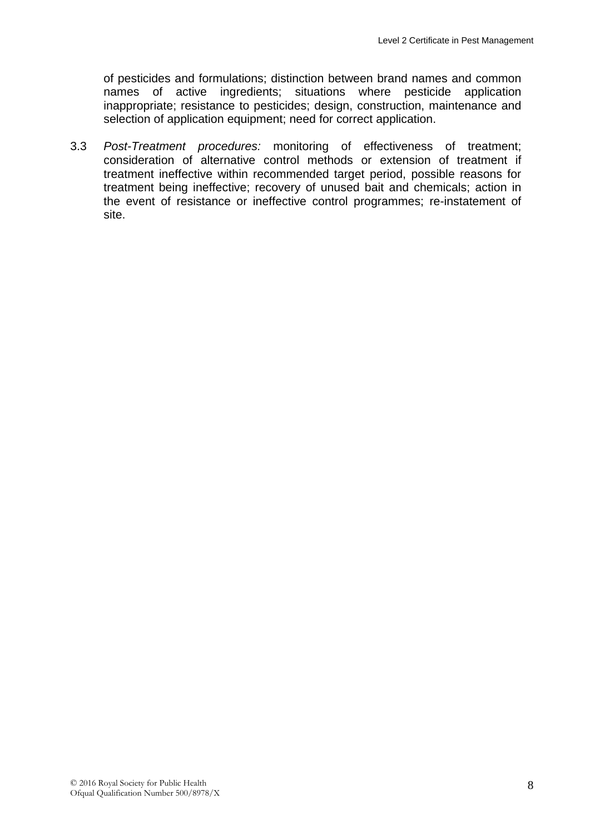of pesticides and formulations; distinction between brand names and common names of active ingredients; situations where pesticide application inappropriate; resistance to pesticides; design, construction, maintenance and selection of application equipment; need for correct application.

3.3 *Post-Treatment procedures:* monitoring of effectiveness of treatment; consideration of alternative control methods or extension of treatment if treatment ineffective within recommended target period, possible reasons for treatment being ineffective; recovery of unused bait and chemicals; action in the event of resistance or ineffective control programmes; re-instatement of site.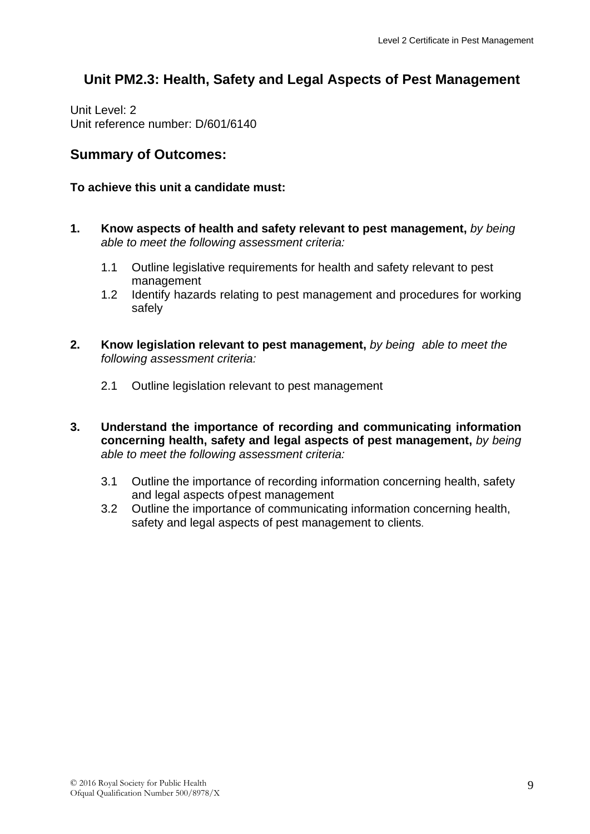## **Unit PM2.3: Health, Safety and Legal Aspects of Pest Management**

Unit Level: 2 Unit reference number: D/601/6140

### **Summary of Outcomes:**

#### **To achieve this unit a candidate must:**

- **1. Know aspects of health and safety relevant to pest management,** *by being able to meet the following assessment criteria:*
	- 1.1 Outline legislative requirements for health and safety relevant to pest management
	- 1.2 Identify hazards relating to pest management and procedures for working safely
- **2. Know legislation relevant to pest management,** *by being able to meet the following assessment criteria:*
	- 2.1 Outline legislation relevant to pest management
- **3. Understand the importance of recording and communicating information concerning health, safety and legal aspects of pest management,** *by being able to meet the following assessment criteria:*
	- 3.1 Outline the importance of recording information concerning health, safety and legal aspects ofpest management
	- 3.2 Outline the importance of communicating information concerning health, safety and legal aspects of pest management to clients.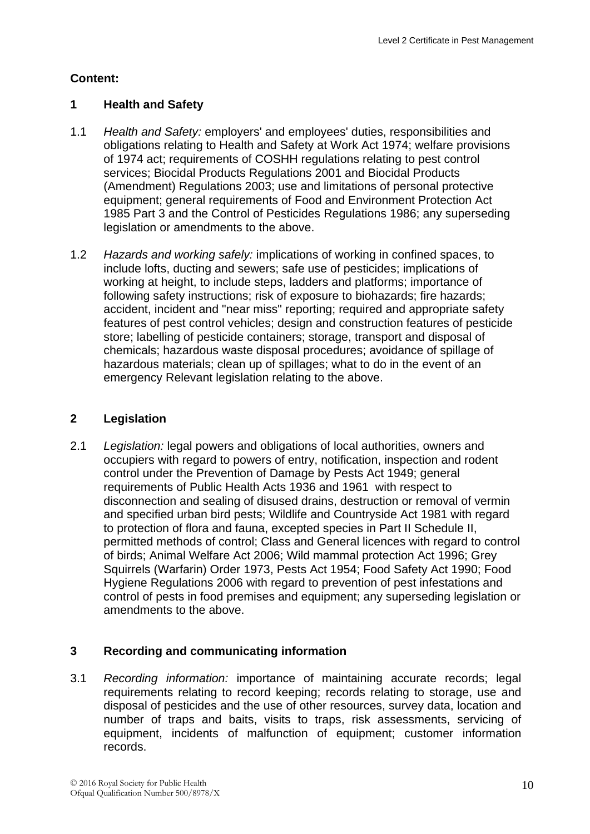#### **1 Health and Safety**

- 1.1 *Health and Safety:* employers' and employees' duties, responsibilities and obligations relating to Health and Safety at Work Act 1974; welfare provisions of 1974 act; requirements of COSHH regulations relating to pest control services; Biocidal Products Regulations 2001 and Biocidal Products (Amendment) Regulations 2003; use and limitations of personal protective equipment; general requirements of Food and Environment Protection Act 1985 Part 3 and the Control of Pesticides Regulations 1986; any superseding legislation or amendments to the above.
- 1.2 *Hazards and working safely:* implications of working in confined spaces, to include lofts, ducting and sewers; safe use of pesticides; implications of working at height, to include steps, ladders and platforms; importance of following safety instructions; risk of exposure to biohazards; fire hazards; accident, incident and "near miss" reporting; required and appropriate safety features of pest control vehicles; design and construction features of pesticide store; labelling of pesticide containers; storage, transport and disposal of chemicals; hazardous waste disposal procedures; avoidance of spillage of hazardous materials; clean up of spillages; what to do in the event of an emergency Relevant legislation relating to the above.

### **2 Legislation**

2.1 *Legislation:* legal powers and obligations of local authorities, owners and occupiers with regard to powers of entry, notification, inspection and rodent control under the Prevention of Damage by Pests Act 1949; general requirements of Public Health Acts 1936 and 1961 with respect to disconnection and sealing of disused drains, destruction or removal of vermin and specified urban bird pests; Wildlife and Countryside Act 1981 with regard to protection of flora and fauna, excepted species in Part II Schedule II, permitted methods of control; Class and General licences with regard to control of birds; Animal Welfare Act 2006; Wild mammal protection Act 1996; Grey Squirrels (Warfarin) Order 1973, Pests Act 1954; Food Safety Act 1990; Food Hygiene Regulations 2006 with regard to prevention of pest infestations and control of pests in food premises and equipment; any superseding legislation or amendments to the above.

#### **3 Recording and communicating information**

3.1 *Recording information:* importance of maintaining accurate records; legal requirements relating to record keeping; records relating to storage, use and disposal of pesticides and the use of other resources, survey data, location and number of traps and baits, visits to traps, risk assessments, servicing of equipment, incidents of malfunction of equipment; customer information records.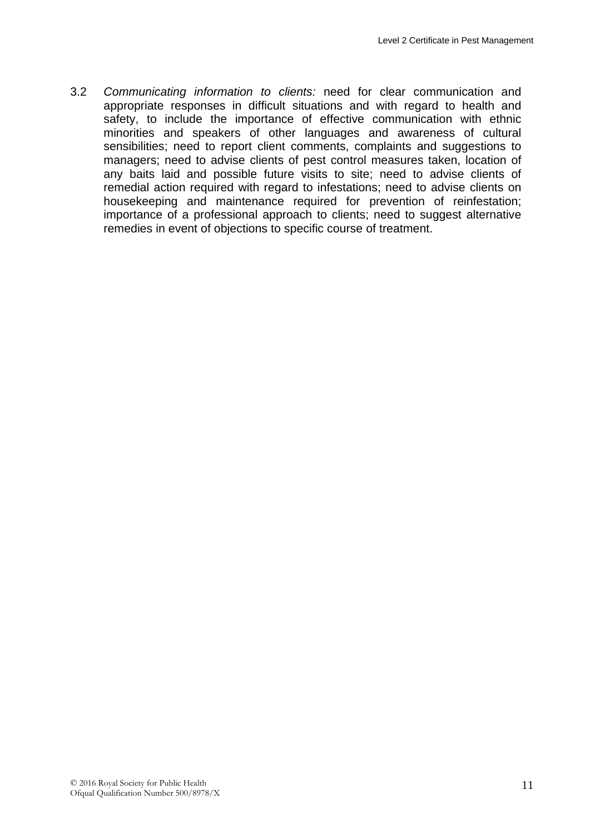3.2 *Communicating information to clients:* need for clear communication and appropriate responses in difficult situations and with regard to health and safety, to include the importance of effective communication with ethnic minorities and speakers of other languages and awareness of cultural sensibilities; need to report client comments, complaints and suggestions to managers; need to advise clients of pest control measures taken, location of any baits laid and possible future visits to site; need to advise clients of remedial action required with regard to infestations; need to advise clients on housekeeping and maintenance required for prevention of reinfestation; importance of a professional approach to clients; need to suggest alternative remedies in event of objections to specific course of treatment.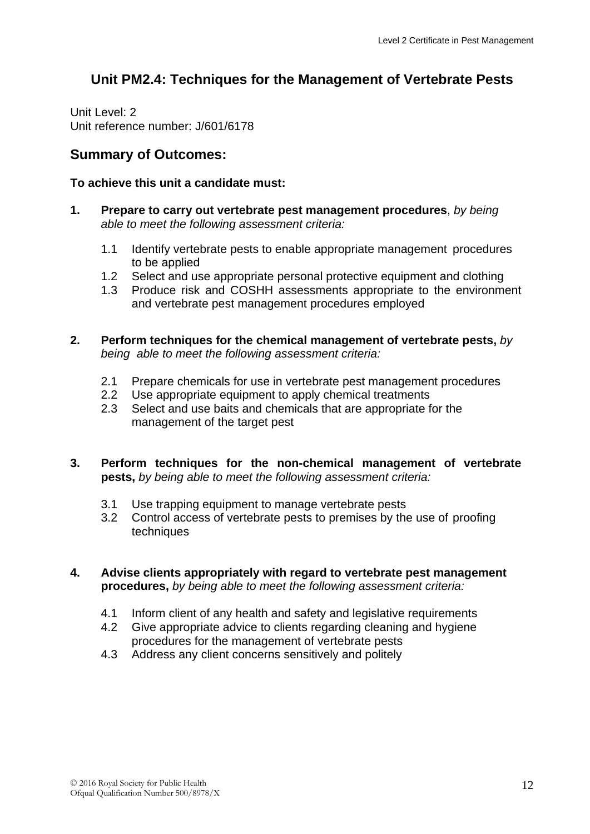## **Unit PM2.4: Techniques for the Management of Vertebrate Pests**

Unit Level: 2 Unit reference number: J/601/6178

#### **Summary of Outcomes:**

#### **To achieve this unit a candidate must:**

- **1. Prepare to carry out vertebrate pest management procedures**, *by being able to meet the following assessment criteria:*
	- 1.1 Identify vertebrate pests to enable appropriate management procedures to be applied
	- 1.2 Select and use appropriate personal protective equipment and clothing
	- 1.3 Produce risk and COSHH assessments appropriate to the environment and vertebrate pest management procedures employed
- **2. Perform techniques for the chemical management of vertebrate pests,** *by being able to meet the following assessment criteria:*
	- 2.1 Prepare chemicals for use in vertebrate pest management procedures
	- 2.2 Use appropriate equipment to apply chemical treatments
	- 2.3 Select and use baits and chemicals that are appropriate for the management of the target pest
- **3. Perform techniques for the non-chemical management of vertebrate pests,** *by being able to meet the following assessment criteria:*
	- 3.1 Use trapping equipment to manage vertebrate pests
	- 3.2 Control access of vertebrate pests to premises by the use of proofing techniques

#### **4. Advise clients appropriately with regard to vertebrate pest management procedures,** *by being able to meet the following assessment criteria:*

- 4.1 Inform client of any health and safety and legislative requirements
- 4.2 Give appropriate advice to clients regarding cleaning and hygiene procedures for the management of vertebrate pests
- 4.3 Address any client concerns sensitively and politely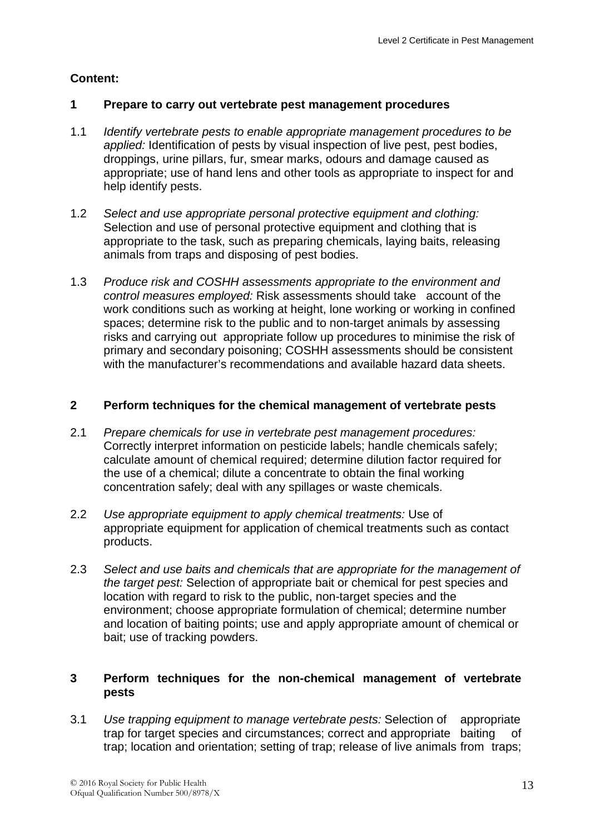#### **1 Prepare to carry out vertebrate pest management procedures**

- 1.1 *Identify vertebrate pests to enable appropriate management procedures to be applied:* Identification of pests by visual inspection of live pest, pest bodies, droppings, urine pillars, fur, smear marks, odours and damage caused as appropriate; use of hand lens and other tools as appropriate to inspect for and help identify pests.
- 1.2 *Select and use appropriate personal protective equipment and clothing:*  Selection and use of personal protective equipment and clothing that is appropriate to the task, such as preparing chemicals, laying baits, releasing animals from traps and disposing of pest bodies.
- 1.3 *Produce risk and COSHH assessments appropriate to the environment and control measures employed:* Risk assessments should take account of the work conditions such as working at height, lone working or working in confined spaces; determine risk to the public and to non-target animals by assessing risks and carrying out appropriate follow up procedures to minimise the risk of primary and secondary poisoning; COSHH assessments should be consistent with the manufacturer's recommendations and available hazard data sheets.

#### **2 Perform techniques for the chemical management of vertebrate pests**

- 2.1 *Prepare chemicals for use in vertebrate pest management procedures:*  Correctly interpret information on pesticide labels; handle chemicals safely; calculate amount of chemical required; determine dilution factor required for the use of a chemical; dilute a concentrate to obtain the final working concentration safely; deal with any spillages or waste chemicals.
- 2.2 *Use appropriate equipment to apply chemical treatments:* Use of appropriate equipment for application of chemical treatments such as contact products.
- 2.3 *Select and use baits and chemicals that are appropriate for the management of the target pest:* Selection of appropriate bait or chemical for pest species and location with regard to risk to the public, non-target species and the environment; choose appropriate formulation of chemical; determine number and location of baiting points; use and apply appropriate amount of chemical or bait; use of tracking powders.

#### **3 Perform techniques for the non-chemical management of vertebrate pests**

3.1 *Use trapping equipment to manage vertebrate pests:* Selection of appropriate trap for target species and circumstances; correct and appropriate baiting of trap; location and orientation; setting of trap; release of live animals from traps;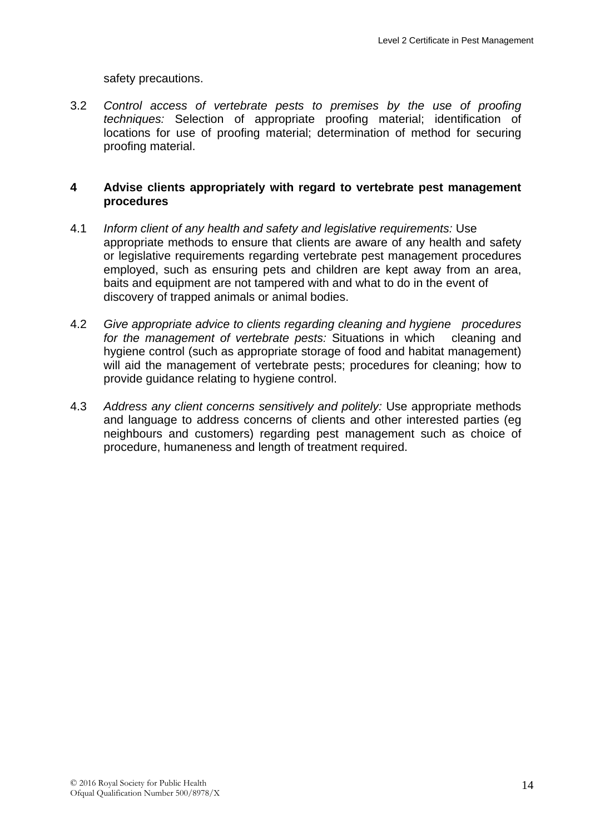safety precautions.

3.2 *Control access of vertebrate pests to premises by the use of proofing techniques:* Selection of appropriate proofing material; identification of locations for use of proofing material; determination of method for securing proofing material.

#### **4 Advise clients appropriately with regard to vertebrate pest management procedures**

- 4.1 *Inform client of any health and safety and legislative requirements:* Use appropriate methods to ensure that clients are aware of any health and safety or legislative requirements regarding vertebrate pest management procedures employed, such as ensuring pets and children are kept away from an area, baits and equipment are not tampered with and what to do in the event of discovery of trapped animals or animal bodies.
- 4.2 *Give appropriate advice to clients regarding cleaning and hygiene procedures for the management of vertebrate pests:* Situations in which cleaning and hygiene control (such as appropriate storage of food and habitat management) will aid the management of vertebrate pests; procedures for cleaning; how to provide guidance relating to hygiene control.
- 4.3 *Address any client concerns sensitively and politely:* Use appropriate methods and language to address concerns of clients and other interested parties (eg neighbours and customers) regarding pest management such as choice of procedure, humaneness and length of treatment required.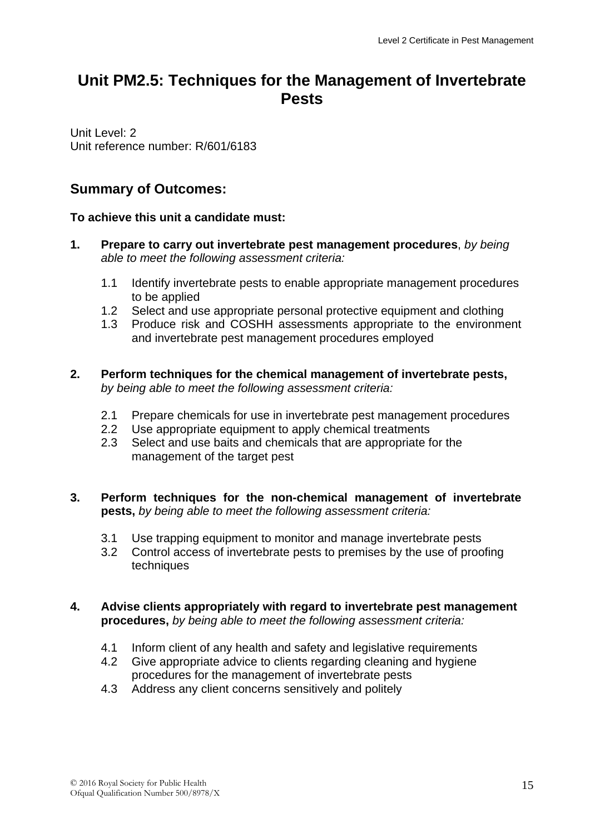# **Unit PM2.5: Techniques for the Management of Invertebrate Pests**

Unit Level: 2 Unit reference number: R/601/6183

## **Summary of Outcomes:**

#### **To achieve this unit a candidate must:**

- **1. Prepare to carry out invertebrate pest management procedures**, *by being able to meet the following assessment criteria:*
	- 1.1 Identify invertebrate pests to enable appropriate management procedures to be applied
	- 1.2 Select and use appropriate personal protective equipment and clothing
	- 1.3 Produce risk and COSHH assessments appropriate to the environment and invertebrate pest management procedures employed
- **2. Perform techniques for the chemical management of invertebrate pests,**  *by being able to meet the following assessment criteria:*
	- 2.1 Prepare chemicals for use in invertebrate pest management procedures
	- 2.2 Use appropriate equipment to apply chemical treatments
	- 2.3 Select and use baits and chemicals that are appropriate for the management of the target pest

#### **3. Perform techniques for the non-chemical management of invertebrate pests,** *by being able to meet the following assessment criteria:*

- 3.1 Use trapping equipment to monitor and manage invertebrate pests
- 3.2 Control access of invertebrate pests to premises by the use of proofing techniques

#### **4. Advise clients appropriately with regard to invertebrate pest management procedures,** *by being able to meet the following assessment criteria:*

- 4.1 Inform client of any health and safety and legislative requirements<br>4.2 Give appropriate advice to clients regarding cleaning and hygiene
- Give appropriate advice to clients regarding cleaning and hygiene procedures for the management of invertebrate pests
- 4.3 Address any client concerns sensitively and politely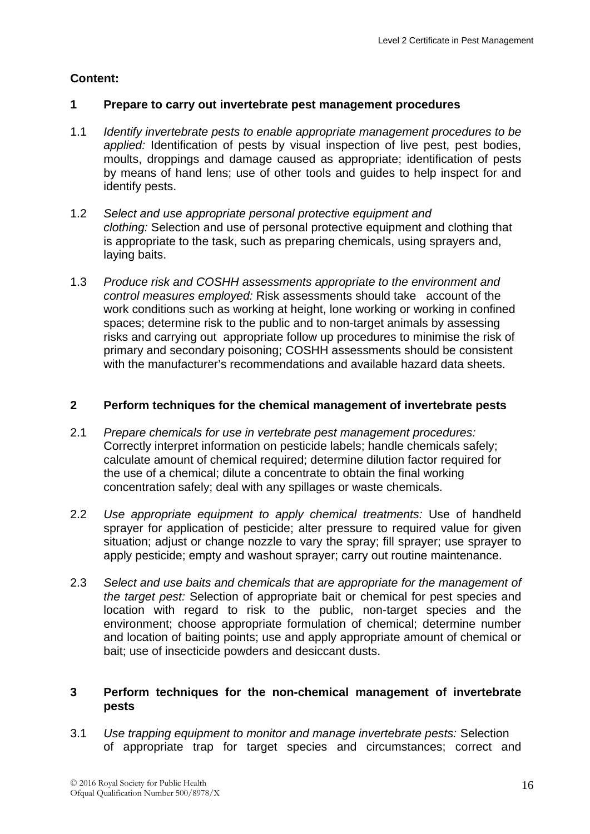#### **1 Prepare to carry out invertebrate pest management procedures**

- 1.1 *Identify invertebrate pests to enable appropriate management procedures to be applied:* Identification of pests by visual inspection of live pest, pest bodies, moults, droppings and damage caused as appropriate; identification of pests by means of hand lens; use of other tools and guides to help inspect for and identify pests.
- 1.2 *Select and use appropriate personal protective equipment and clothing:* Selection and use of personal protective equipment and clothing that is appropriate to the task, such as preparing chemicals, using sprayers and, laying baits.
- 1.3 *Produce risk and COSHH assessments appropriate to the environment and control measures employed:* Risk assessments should take account of the work conditions such as working at height, lone working or working in confined spaces; determine risk to the public and to non-target animals by assessing risks and carrying out appropriate follow up procedures to minimise the risk of primary and secondary poisoning; COSHH assessments should be consistent with the manufacturer's recommendations and available hazard data sheets.

#### **2 Perform techniques for the chemical management of invertebrate pests**

- 2.1 *Prepare chemicals for use in vertebrate pest management procedures:*  Correctly interpret information on pesticide labels; handle chemicals safely; calculate amount of chemical required; determine dilution factor required for the use of a chemical; dilute a concentrate to obtain the final working concentration safely; deal with any spillages or waste chemicals.
- 2.2 *Use appropriate equipment to apply chemical treatments:* Use of handheld sprayer for application of pesticide; alter pressure to required value for given situation; adjust or change nozzle to vary the spray; fill sprayer; use sprayer to apply pesticide; empty and washout sprayer; carry out routine maintenance.
- 2.3 *Select and use baits and chemicals that are appropriate for the management of the target pest:* Selection of appropriate bait or chemical for pest species and location with regard to risk to the public, non-target species and the environment; choose appropriate formulation of chemical; determine number and location of baiting points; use and apply appropriate amount of chemical or bait; use of insecticide powders and desiccant dusts.

#### **3 Perform techniques for the non-chemical management of invertebrate pests**

3.1 *Use trapping equipment to monitor and manage invertebrate pests:* Selection of appropriate trap for target species and circumstances; correct and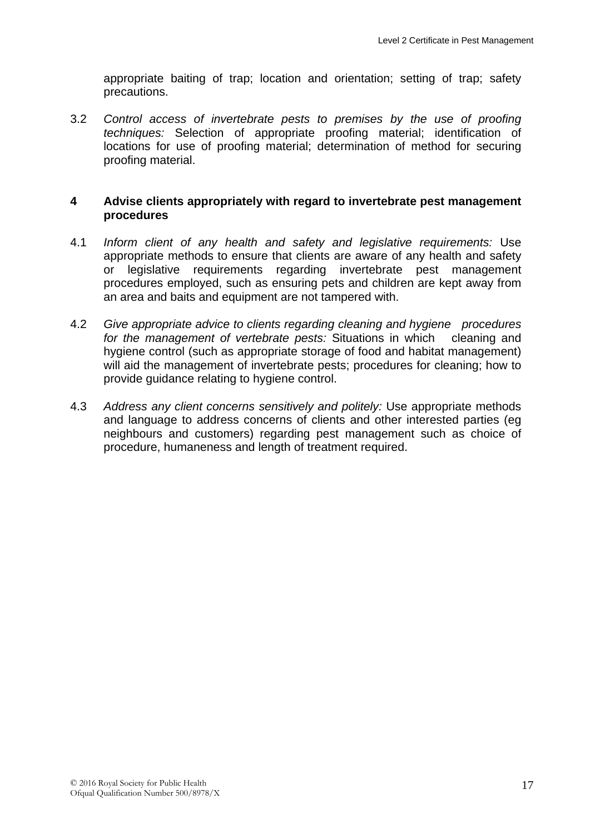appropriate baiting of trap; location and orientation; setting of trap; safety precautions.

3.2 *Control access of invertebrate pests to premises by the use of proofing techniques:* Selection of appropriate proofing material; identification of locations for use of proofing material; determination of method for securing proofing material.

#### **4 Advise clients appropriately with regard to invertebrate pest management procedures**

- 4.1 *Inform client of any health and safety and legislative requirements:* Use appropriate methods to ensure that clients are aware of any health and safety or legislative requirements regarding invertebrate pest management procedures employed, such as ensuring pets and children are kept away from an area and baits and equipment are not tampered with.
- 4.2 *Give appropriate advice to clients regarding cleaning and hygiene procedures for the management of vertebrate pests:* Situations in which cleaning and hygiene control (such as appropriate storage of food and habitat management) will aid the management of invertebrate pests; procedures for cleaning; how to provide guidance relating to hygiene control.
- 4.3 *Address any client concerns sensitively and politely:* Use appropriate methods and language to address concerns of clients and other interested parties (eg neighbours and customers) regarding pest management such as choice of procedure, humaneness and length of treatment required.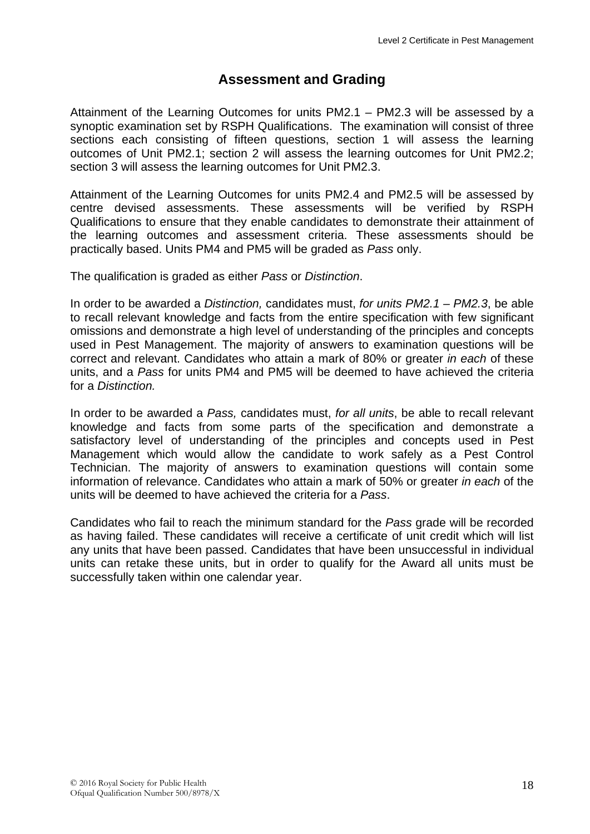## **Assessment and Grading**

Attainment of the Learning Outcomes for units PM2.1 – PM2.3 will be assessed by a synoptic examination set by RSPH Qualifications. The examination will consist of three sections each consisting of fifteen questions, section 1 will assess the learning outcomes of Unit PM2.1; section 2 will assess the learning outcomes for Unit PM2.2; section 3 will assess the learning outcomes for Unit PM2.3.

Attainment of the Learning Outcomes for units PM2.4 and PM2.5 will be assessed by centre devised assessments. These assessments will be verified by RSPH Qualifications to ensure that they enable candidates to demonstrate their attainment of the learning outcomes and assessment criteria. These assessments should be practically based. Units PM4 and PM5 will be graded as *Pass* only.

The qualification is graded as either *Pass* or *Distinction*.

In order to be awarded a *Distinction,* candidates must, *for units PM2.1 – PM2.3*, be able to recall relevant knowledge and facts from the entire specification with few significant omissions and demonstrate a high level of understanding of the principles and concepts used in Pest Management. The majority of answers to examination questions will be correct and relevant. Candidates who attain a mark of 80% or greater *in each* of these units, and a *Pass* for units PM4 and PM5 will be deemed to have achieved the criteria for a *Distinction.*

In order to be awarded a *Pass,* candidates must, *for all units*, be able to recall relevant knowledge and facts from some parts of the specification and demonstrate a satisfactory level of understanding of the principles and concepts used in Pest Management which would allow the candidate to work safely as a Pest Control Technician. The majority of answers to examination questions will contain some information of relevance. Candidates who attain a mark of 50% or greater *in each* of the units will be deemed to have achieved the criteria for a *Pass*.

Candidates who fail to reach the minimum standard for the *Pass* grade will be recorded as having failed. These candidates will receive a certificate of unit credit which will list any units that have been passed. Candidates that have been unsuccessful in individual units can retake these units, but in order to qualify for the Award all units must be successfully taken within one calendar year.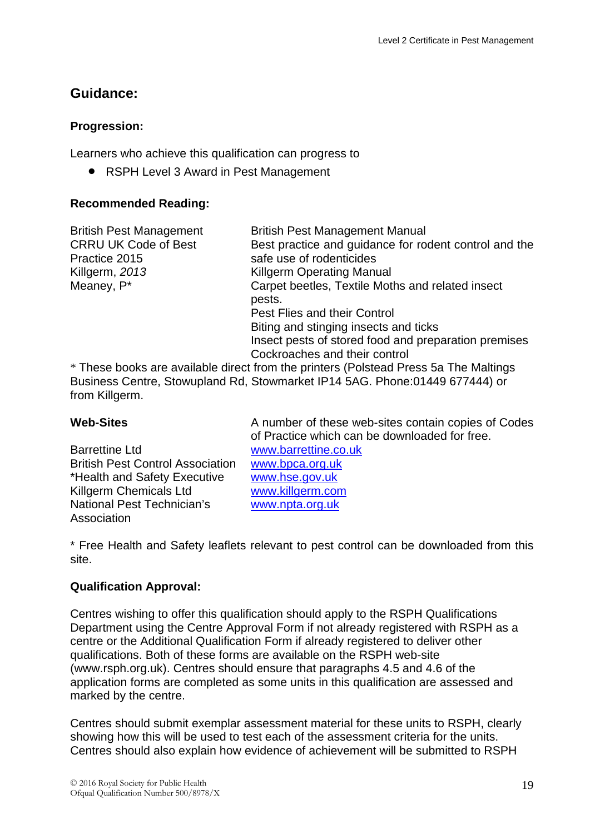## **Guidance:**

#### **Progression:**

Learners who achieve this qualification can progress to

• RSPH Level 3 Award in Pest Management

#### **Recommended Reading:**

| <b>British Pest Management</b> | <b>British Pest Management Manual</b>                                              |
|--------------------------------|------------------------------------------------------------------------------------|
| <b>CRRU UK Code of Best</b>    | Best practice and guidance for rodent control and the                              |
| Practice 2015                  | safe use of rodenticides                                                           |
| Killgerm, 2013                 | <b>Killgerm Operating Manual</b>                                                   |
| Meaney, P*                     | Carpet beetles, Textile Moths and related insect                                   |
|                                | pests.                                                                             |
|                                | Pest Flies and their Control                                                       |
|                                | Biting and stinging insects and ticks                                              |
|                                | Insect pests of stored food and preparation premises                               |
|                                | Cockroaches and their control                                                      |
|                                | Those books are available direct from the printers (Polstoad Press 5a The Maltings |

These books are available direct from the printers (Polstead Press 5a The Maltings Business Centre, Stowupland Rd, Stowmarket IP14 5AG. Phone:01449 677444) or from Killgerm.

Barrettine Ltd [www.barrettine.co.uk](http://www.barrettine.co.uk/) British Pest Control Association [www.bpca.org.uk](http://www.bpca.org.uk/) \*Health and Safety Executive [www.hse.gov.uk](http://www.hse.gov.uk/) Killgerm Chemicals Ltd [www.killgerm.com](http://www.killgerm.com/) National Pest Technician's Association

**Web-Sites** A number of these web-sites contain copies of Codes of Practice which can be downloaded for free. [www.npta.org.uk](http://www.npta.org.uk/)

\* Free Health and Safety leaflets relevant to pest control can be downloaded from this site.

#### **Qualification Approval:**

Centres wishing to offer this qualification should apply to the RSPH Qualifications Department using the Centre Approval Form if not already registered with RSPH as a centre or the Additional Qualification Form if already registered to deliver other qualifications. Both of these forms are available on the RSPH web-site (www.rsph.org.uk). Centres should ensure that paragraphs 4.5 and 4.6 of the application forms are completed as some units in this qualification are assessed and marked by the centre.

Centres should submit exemplar assessment material for these units to RSPH, clearly showing how this will be used to test each of the assessment criteria for the units. Centres should also explain how evidence of achievement will be submitted to RSPH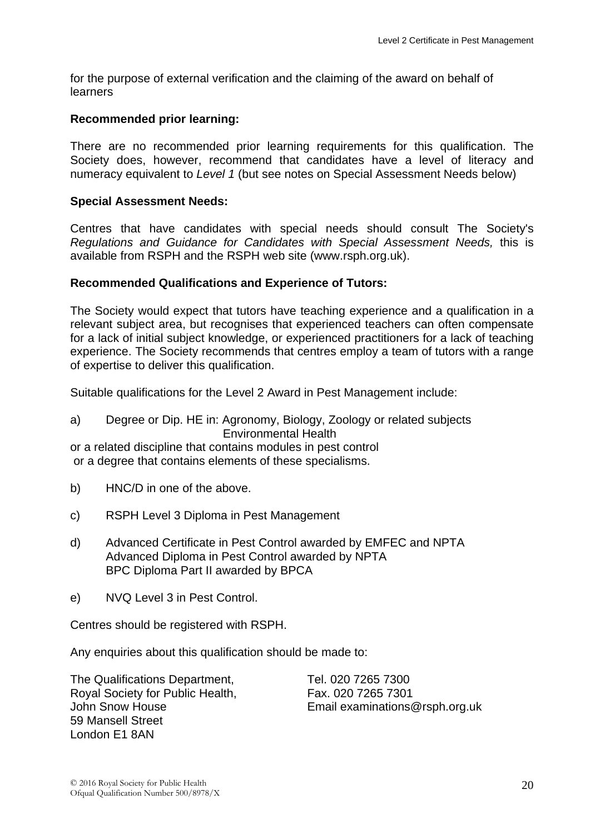for the purpose of external verification and the claiming of the award on behalf of learners

#### **Recommended prior learning:**

There are no recommended prior learning requirements for this qualification. The Society does, however, recommend that candidates have a level of literacy and numeracy equivalent to *Level 1* (but see notes on Special Assessment Needs below)

#### **Special Assessment Needs:**

Centres that have candidates with special needs should consult The Society's *Regulations and Guidance for Candidates with Special Assessment Needs,* this is available from RSPH and the RSPH web site (www.rsph.org.uk).

#### **Recommended Qualifications and Experience of Tutors:**

The Society would expect that tutors have teaching experience and a qualification in a relevant subject area, but recognises that experienced teachers can often compensate for a lack of initial subject knowledge, or experienced practitioners for a lack of teaching experience. The Society recommends that centres employ a team of tutors with a range of expertise to deliver this qualification.

Suitable qualifications for the Level 2 Award in Pest Management include:

a) Degree or Dip. HE in: Agronomy, Biology, Zoology or related subjects Environmental Health

or a related discipline that contains modules in pest control or a degree that contains elements of these specialisms.

- b) HNC/D in one of the above.
- c) RSPH Level 3 Diploma in Pest Management
- d) Advanced Certificate in Pest Control awarded by EMFEC and NPTA Advanced Diploma in Pest Control awarded by NPTA BPC Diploma Part II awarded by BPCA
- e) NVQ Level 3 in Pest Control.

Centres should be registered with RSPH.

Any enquiries about this qualification should be made to:

The Qualifications Department, Royal Society for Public Health, John Snow House 59 Mansell Street London E1 8AN

Tel. 020 7265 7300 Fax. 020 7265 7301 Email examinations@rsph.org.uk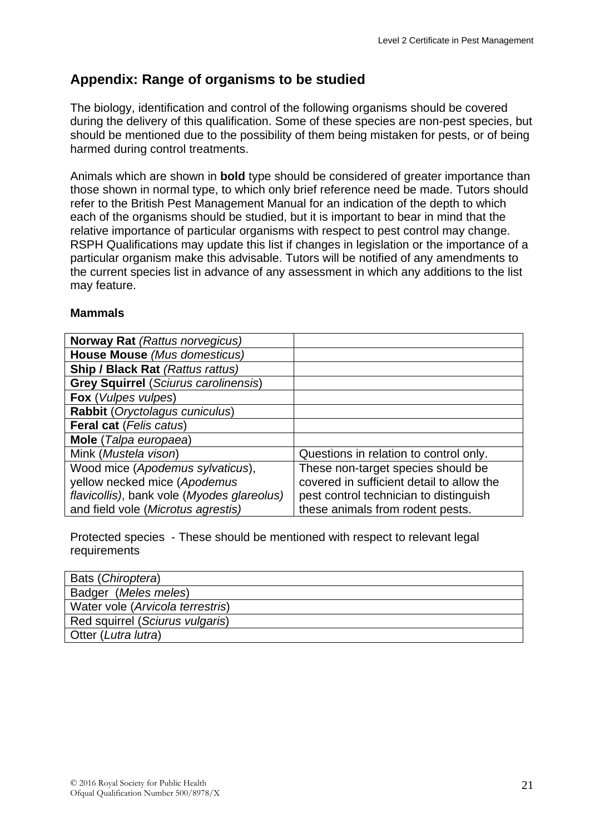## **Appendix: Range of organisms to be studied**

The biology, identification and control of the following organisms should be covered during the delivery of this qualification. Some of these species are non-pest species, but should be mentioned due to the possibility of them being mistaken for pests, or of being harmed during control treatments.

Animals which are shown in **bold** type should be considered of greater importance than those shown in normal type, to which only brief reference need be made. Tutors should refer to the British Pest Management Manual for an indication of the depth to which each of the organisms should be studied, but it is important to bear in mind that the relative importance of particular organisms with respect to pest control may change. RSPH Qualifications may update this list if changes in legislation or the importance of a particular organism make this advisable. Tutors will be notified of any amendments to the current species list in advance of any assessment in which any additions to the list may feature.

#### **Mammals**

| <b>Norway Rat (Rattus norvegicus)</b>       |                                           |
|---------------------------------------------|-------------------------------------------|
| House Mouse (Mus domesticus)                |                                           |
| <b>Ship / Black Rat (Rattus rattus)</b>     |                                           |
| <b>Grey Squirrel (Sciurus carolinensis)</b> |                                           |
| Fox (Vulpes vulpes)                         |                                           |
| Rabbit (Oryctolagus cuniculus)              |                                           |
| <b>Feral cat (Felis catus)</b>              |                                           |
| Mole (Talpa europaea)                       |                                           |
| Mink (Mustela vison)                        | Questions in relation to control only.    |
| Wood mice (Apodemus sylvaticus),            | These non-target species should be        |
| yellow necked mice (Apodemus                | covered in sufficient detail to allow the |
| flavicollis), bank vole (Myodes glareolus)  | pest control technician to distinguish    |
| and field vole (Microtus agrestis)          | these animals from rodent pests.          |

Protected species - These should be mentioned with respect to relevant legal requirements

| Bats (Chiroptera)                |
|----------------------------------|
| Badger (Meles meles)             |
| Water vole (Arvicola terrestris) |
| Red squirrel (Sciurus vulgaris)  |
| Otter (Lutra lutra)              |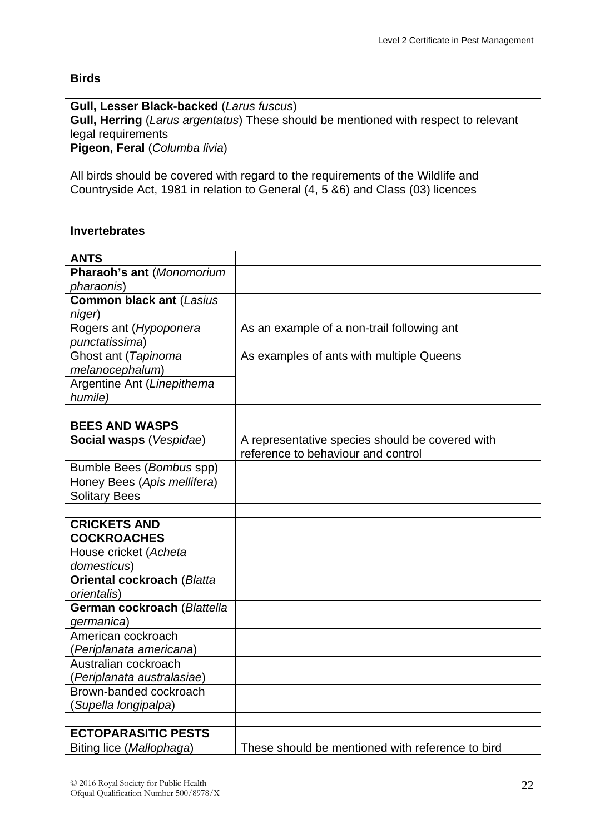#### **Birds**

| <b>Gull, Lesser Black-backed (Larus fuscus)</b>                                            |
|--------------------------------------------------------------------------------------------|
| <b>Gull, Herring</b> (Larus argentatus) These should be mentioned with respect to relevant |
| legal requirements                                                                         |
| Pigeon, Feral (Columba livia)                                                              |
|                                                                                            |

All birds should be covered with regard to the requirements of the Wildlife and Countryside Act, 1981 in relation to General (4, 5 &6) and Class (03) licences

#### **Invertebrates**

| <b>ANTS</b>                       |                                                  |
|-----------------------------------|--------------------------------------------------|
| Pharaoh's ant (Monomorium         |                                                  |
| pharaonis)                        |                                                  |
| <b>Common black ant (Lasius</b>   |                                                  |
| niger)                            |                                                  |
| Rogers ant (Hypoponera            | As an example of a non-trail following ant       |
| punctatissima)                    |                                                  |
| Ghost ant (Tapinoma               | As examples of ants with multiple Queens         |
| melanocephalum)                   |                                                  |
| Argentine Ant (Linepithema        |                                                  |
| humile)                           |                                                  |
|                                   |                                                  |
| <b>BEES AND WASPS</b>             |                                                  |
| Social wasps (Vespidae)           | A representative species should be covered with  |
|                                   | reference to behaviour and control               |
| Bumble Bees (Bombus spp)          |                                                  |
| Honey Bees (Apis mellifera)       |                                                  |
| <b>Solitary Bees</b>              |                                                  |
|                                   |                                                  |
| <b>CRICKETS AND</b>               |                                                  |
| <b>COCKROACHES</b>                |                                                  |
| House cricket (Acheta             |                                                  |
| domesticus)                       |                                                  |
| <b>Oriental cockroach (Blatta</b> |                                                  |
| orientalis)                       |                                                  |
| German cockroach (Blattella       |                                                  |
| germanica)                        |                                                  |
| American cockroach                |                                                  |
| (Periplanata americana)           |                                                  |
| Australian cockroach              |                                                  |
| (Periplanata australasiae)        |                                                  |
| Brown-banded cockroach            |                                                  |
| (Supella longipalpa)              |                                                  |
|                                   |                                                  |
| <b>ECTOPARASITIC PESTS</b>        |                                                  |
| Biting lice (Mallophaga)          | These should be mentioned with reference to bird |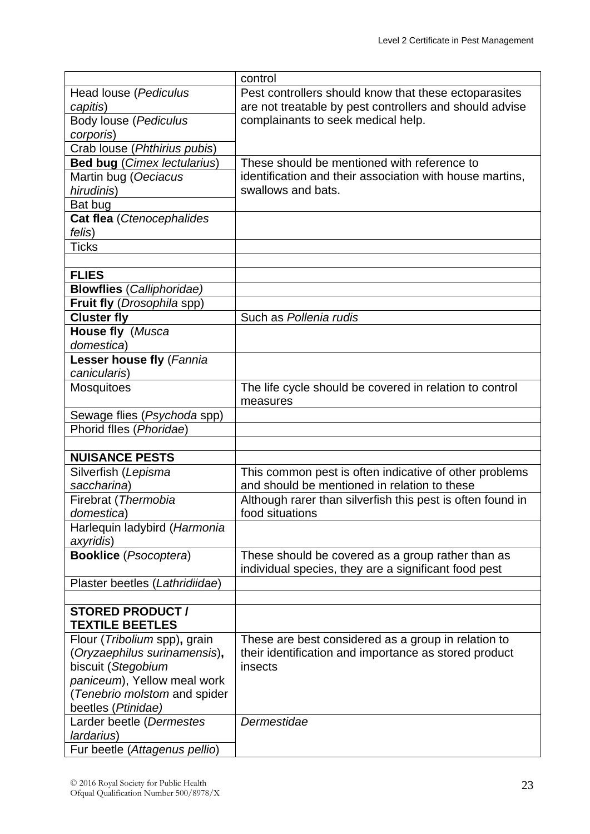|                                    | control                                                    |
|------------------------------------|------------------------------------------------------------|
| Head louse (Pediculus              | Pest controllers should know that these ectoparasites      |
| capitis)                           | are not treatable by pest controllers and should advise    |
| Body louse (Pediculus              | complainants to seek medical help.                         |
| corporis)                          |                                                            |
| Crab louse (Phthirius pubis)       |                                                            |
| <b>Bed bug (Cimex lectularius)</b> | These should be mentioned with reference to                |
| Martin bug (Oeciacus               | identification and their association with house martins,   |
| hirudinis)                         | swallows and bats.                                         |
| Bat bug                            |                                                            |
| Cat flea (Ctenocephalides          |                                                            |
| felis)                             |                                                            |
| Ticks                              |                                                            |
|                                    |                                                            |
| <b>FLIES</b>                       |                                                            |
| <b>Blowflies</b> (Calliphoridae)   |                                                            |
| Fruit fly (Drosophila spp)         |                                                            |
| <b>Cluster fly</b>                 | Such as Pollenia rudis                                     |
| House fly (Musca                   |                                                            |
| domestica)                         |                                                            |
|                                    |                                                            |
| Lesser house fly (Fannia           |                                                            |
| canicularis)                       |                                                            |
| <b>Mosquitoes</b>                  | The life cycle should be covered in relation to control    |
|                                    | measures                                                   |
| Sewage flies (Psychoda spp)        |                                                            |
| Phorid flles (Phoridae)            |                                                            |
|                                    |                                                            |
| <b>NUISANCE PESTS</b>              |                                                            |
| Silverfish (Lepisma                | This common pest is often indicative of other problems     |
| saccharina)                        | and should be mentioned in relation to these               |
| Firebrat (Thermobia                | Although rarer than silverfish this pest is often found in |
| domestica)                         | food situations                                            |
| Harlequin ladybird (Harmonia       |                                                            |
| axyridis)                          |                                                            |
| <b>Booklice</b> (Psocoptera)       | These should be covered as a group rather than as          |
|                                    | individual species, they are a significant food pest       |
| Plaster beetles (Lathridiidae)     |                                                            |
|                                    |                                                            |
| <b>STORED PRODUCT /</b>            |                                                            |
| <b>TEXTILE BEETLES</b>             |                                                            |
| Flour (Tribolium spp), grain       | These are best considered as a group in relation to        |
| (Oryzaephilus surinamensis),       | their identification and importance as stored product      |
| biscuit (Stegobium                 | insects                                                    |
| paniceum), Yellow meal work        |                                                            |
| (Tenebrio molstom and spider       |                                                            |
| beetles (Ptinidae)                 |                                                            |
| Larder beetle (Dermestes           | Dermestidae                                                |
| lardarius)                         |                                                            |
| Fur beetle (Attagenus pellio)      |                                                            |